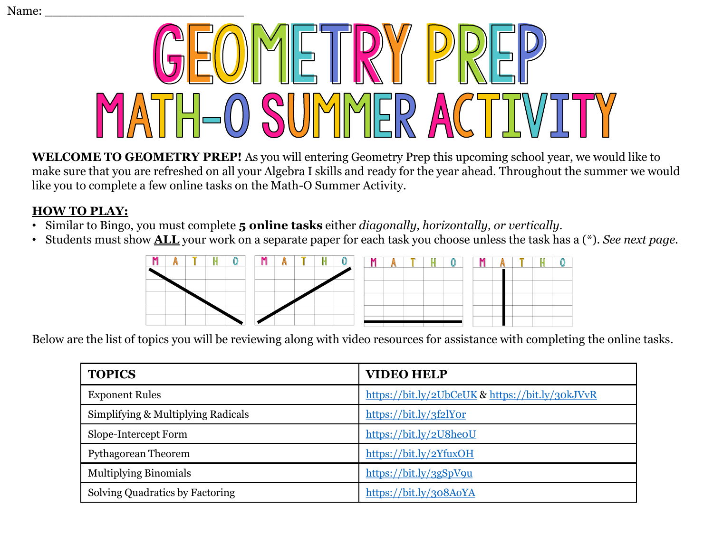

**WELCOME TO GEOMETRY PREP!** As you will entering Geometry Prep this upcoming school year, we would like to make sure that you are refreshed on all your Algebra I skills and ready for the year ahead. Throughout the summer we would like you to complete a few online tasks on the Math-O Summer Activity.

## **HOW TO PLAY:**

- Similar to Bingo, you must complete **5 online tasks** either *diagonally, horizontally, or vertically.*
- Students must show **ALL** your work on a separate paper for each task you choose unless the task has a (\*). *See next page.*



Below are the list of topics you will be reviewing along with video resources for assistance with completing the online tasks.

| <b>TOPICS</b>                      | <b>VIDEO HELP</b>                               |
|------------------------------------|-------------------------------------------------|
| <b>Exponent Rules</b>              | https://bit.ly/2UbCeUK & https://bit.ly/30kJVvR |
| Simplifying & Multiplying Radicals | https://bit.ly/3f2lYor                          |
| Slope-Intercept Form               | https://bit.ly/2U8heoU                          |
| Pythagorean Theorem                | https://bit.ly/2YfuxOH                          |
| <b>Multiplying Binomials</b>       | https://bit.ly/3gSpV9u                          |
| Solving Quadratics by Factoring    | https://bit.ly/308AoYA                          |